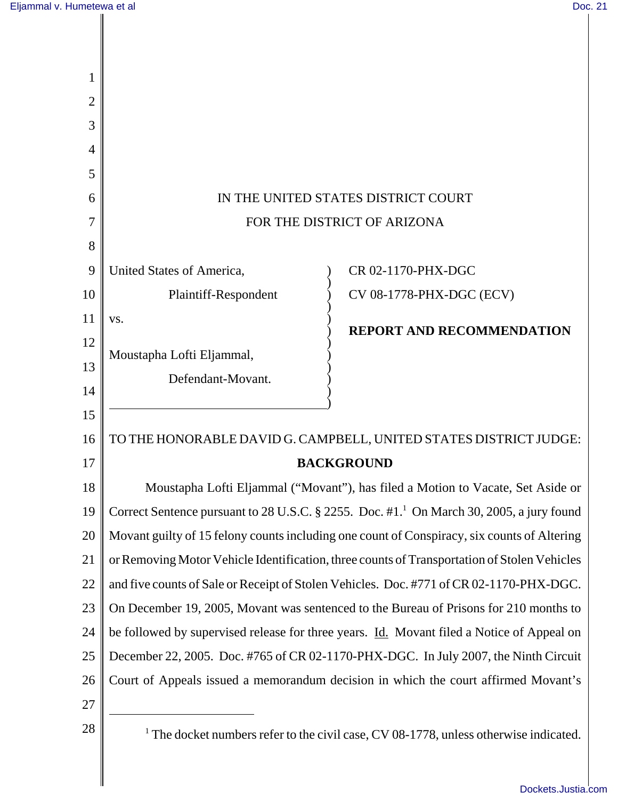$\begin{array}{c} \hline \end{array}$ 

 $\mathsf{I}$  $\parallel$ 

| $\overline{2}$ |                                                                                                      |                                  |
|----------------|------------------------------------------------------------------------------------------------------|----------------------------------|
| 3              |                                                                                                      |                                  |
| 4              |                                                                                                      |                                  |
| 5              |                                                                                                      |                                  |
| 6              | IN THE UNITED STATES DISTRICT COURT                                                                  |                                  |
| 7              | FOR THE DISTRICT OF ARIZONA                                                                          |                                  |
| 8              |                                                                                                      |                                  |
| 9              | United States of America,                                                                            | CR 02-1170-PHX-DGC               |
| 10             | Plaintiff-Respondent                                                                                 | CV 08-1778-PHX-DGC (ECV)         |
| 11             | VS.                                                                                                  | <b>REPORT AND RECOMMENDATION</b> |
| 12             |                                                                                                      |                                  |
| 13             | Moustapha Lofti Eljammal,                                                                            |                                  |
| 14             | Defendant-Movant.                                                                                    |                                  |
| 15             |                                                                                                      |                                  |
| 16             | TO THE HONORABLE DAVID G. CAMPBELL, UNITED STATES DISTRICT JUDGE:                                    |                                  |
| 17             | <b>BACKGROUND</b>                                                                                    |                                  |
| 18             | Moustapha Lofti Eljammal ("Movant"), has filed a Motion to Vacate, Set Aside or                      |                                  |
| 19             | Correct Sentence pursuant to 28 U.S.C. § 2255. Doc. #1. <sup>1</sup> On March 30, 2005, a jury found |                                  |
| 20             | Movant guilty of 15 felony counts including one count of Conspiracy, six counts of Altering          |                                  |
| 21             | or Removing Motor Vehicle Identification, three counts of Transportation of Stolen Vehicles          |                                  |
| 22             | and five counts of Sale or Receipt of Stolen Vehicles. Doc. #771 of CR 02-1170-PHX-DGC.              |                                  |
| 23             | On December 19, 2005, Movant was sentenced to the Bureau of Prisons for 210 months to                |                                  |
| 24             | be followed by supervised release for three years. <i>Id.</i> Movant filed a Notice of Appeal on     |                                  |
| 25             | December 22, 2005. Doc. #765 of CR 02-1170-PHX-DGC. In July 2007, the Ninth Circuit                  |                                  |
| 26             | Court of Appeals issued a memorandum decision in which the court affirmed Movant's                   |                                  |
| 27             |                                                                                                      |                                  |
| 28             | The docket numbers refer to the civil case, CV 08-1778, unless otherwise indicated.                  |                                  |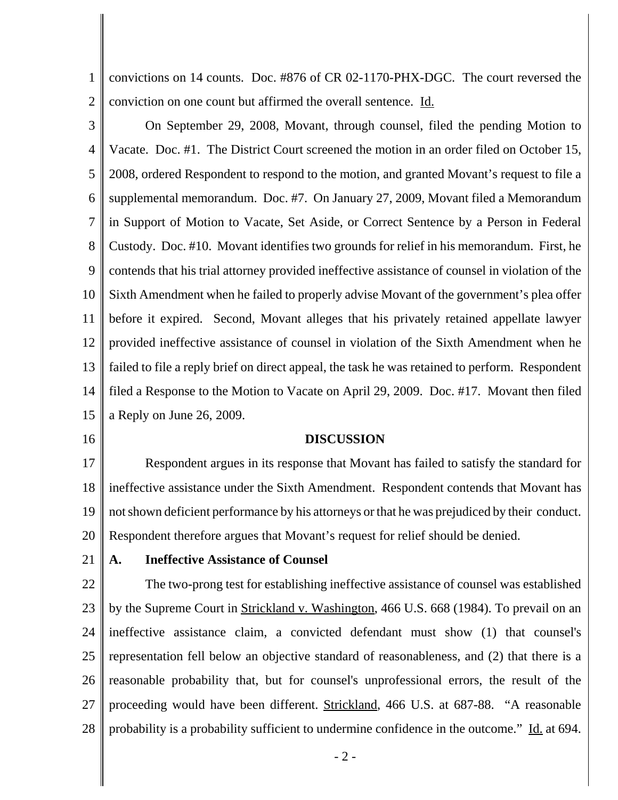1 2 convictions on 14 counts. Doc. #876 of CR 02-1170-PHX-DGC. The court reversed the conviction on one count but affirmed the overall sentence. Id.

- 3 4 5 6 7 8 9 10 11 12 13 14 15 On September 29, 2008, Movant, through counsel, filed the pending Motion to Vacate. Doc. #1. The District Court screened the motion in an order filed on October 15, 2008, ordered Respondent to respond to the motion, and granted Movant's request to file a supplemental memorandum. Doc. #7. On January 27, 2009, Movant filed a Memorandum in Support of Motion to Vacate, Set Aside, or Correct Sentence by a Person in Federal Custody. Doc. #10. Movant identifies two grounds for relief in his memorandum. First, he contends that his trial attorney provided ineffective assistance of counsel in violation of the Sixth Amendment when he failed to properly advise Movant of the government's plea offer before it expired. Second, Movant alleges that his privately retained appellate lawyer provided ineffective assistance of counsel in violation of the Sixth Amendment when he failed to file a reply brief on direct appeal, the task he was retained to perform. Respondent filed a Response to the Motion to Vacate on April 29, 2009. Doc. #17. Movant then filed a Reply on June 26, 2009.
- 16

## **DISCUSSION**

17 18 19 20 Respondent argues in its response that Movant has failed to satisfy the standard for ineffective assistance under the Sixth Amendment. Respondent contends that Movant has not shown deficient performance by his attorneys or that he was prejudiced by their conduct. Respondent therefore argues that Movant's request for relief should be denied.

21

# **A. Ineffective Assistance of Counsel**

22 23 24 25 26 27 28 The two-prong test for establishing ineffective assistance of counsel was established by the Supreme Court in Strickland v. Washington, 466 U.S. 668 (1984). To prevail on an ineffective assistance claim, a convicted defendant must show (1) that counsel's representation fell below an objective standard of reasonableness, and (2) that there is a reasonable probability that, but for counsel's unprofessional errors, the result of the proceeding would have been different. Strickland, 466 U.S. at 687-88. "A reasonable probability is a probability sufficient to undermine confidence in the outcome." Id. at 694.

- 2 -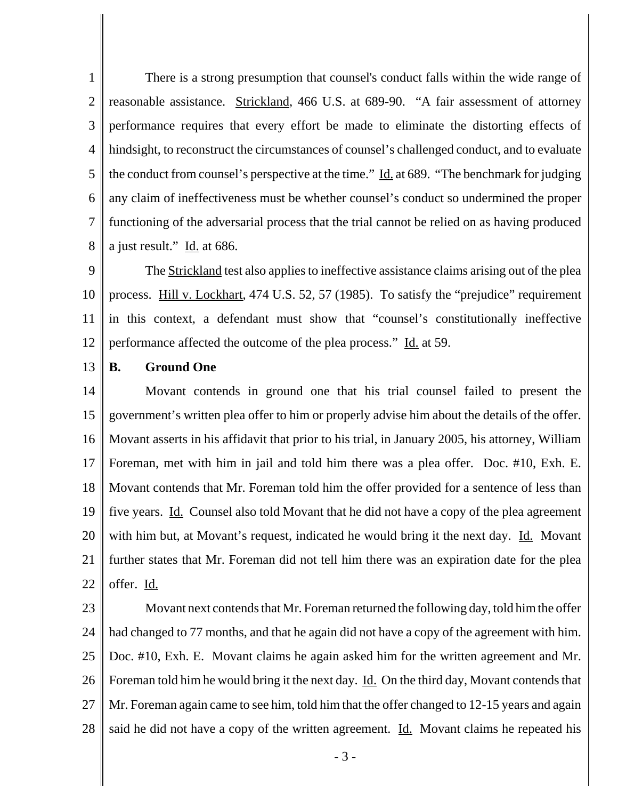1 2 3 4 5 6 7 8 There is a strong presumption that counsel's conduct falls within the wide range of reasonable assistance. Strickland, 466 U.S. at 689-90. "A fair assessment of attorney performance requires that every effort be made to eliminate the distorting effects of hindsight, to reconstruct the circumstances of counsel's challenged conduct, and to evaluate the conduct from counsel's perspective at the time." Id. at 689. "The benchmark for judging any claim of ineffectiveness must be whether counsel's conduct so undermined the proper functioning of the adversarial process that the trial cannot be relied on as having produced a just result." Id. at 686.

9 10 11 12 The **Strickland** test also applies to ineffective assistance claims arising out of the plea process. Hill v. Lockhart, 474 U.S. 52, 57 (1985). To satisfy the "prejudice" requirement in this context, a defendant must show that "counsel's constitutionally ineffective performance affected the outcome of the plea process." Id. at 59.

#### 13 **B. Ground One**

14 15 16 17 18 19 20 21 22 Movant contends in ground one that his trial counsel failed to present the government's written plea offer to him or properly advise him about the details of the offer. Movant asserts in his affidavit that prior to his trial, in January 2005, his attorney, William Foreman, met with him in jail and told him there was a plea offer. Doc. #10, Exh. E. Movant contends that Mr. Foreman told him the offer provided for a sentence of less than five years. Id. Counsel also told Movant that he did not have a copy of the plea agreement with him but, at Movant's request, indicated he would bring it the next day. Id. Movant further states that Mr. Foreman did not tell him there was an expiration date for the plea offer. Id.

- 23 24 25 26 27 28 Movant next contends that Mr. Foreman returned the following day, told him the offer had changed to 77 months, and that he again did not have a copy of the agreement with him. Doc. #10, Exh. E. Movant claims he again asked him for the written agreement and Mr. Foreman told him he would bring it the next day. <u>Id.</u> On the third day, Movant contends that Mr. Foreman again came to see him, told him that the offer changed to 12-15 years and again said he did not have a copy of the written agreement.  $\underline{Id}$ . Movant claims he repeated his
	- 3 -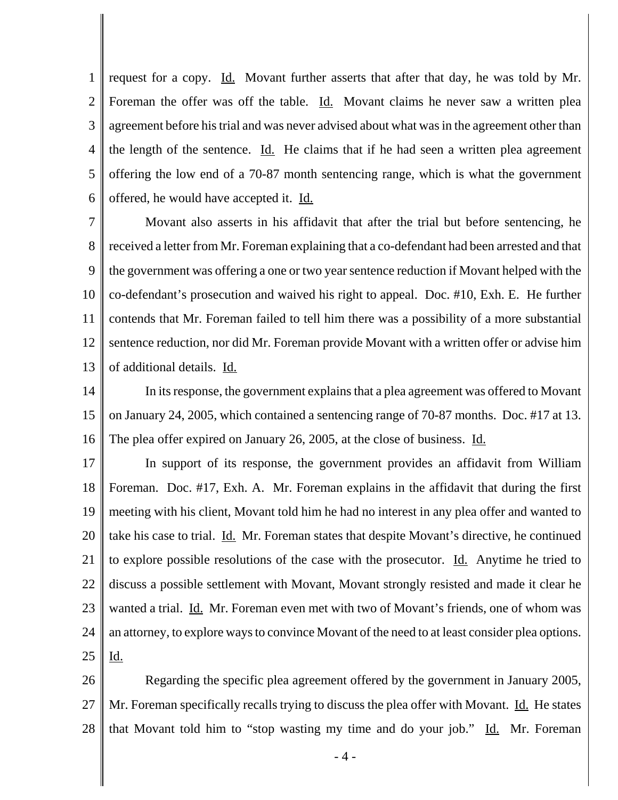1 2 3 4 5 6 request for a copy. Id. Movant further asserts that after that day, he was told by Mr. Foreman the offer was off the table. Id. Movant claims he never saw a written plea agreement before his trial and was never advised about what was in the agreement other than the length of the sentence. Id. He claims that if he had seen a written plea agreement offering the low end of a 70-87 month sentencing range, which is what the government offered, he would have accepted it. Id.

7 8 9 10 11 12 13 Movant also asserts in his affidavit that after the trial but before sentencing, he received a letter from Mr. Foreman explaining that a co-defendant had been arrested and that the government was offering a one or two year sentence reduction if Movant helped with the co-defendant's prosecution and waived his right to appeal. Doc. #10, Exh. E. He further contends that Mr. Foreman failed to tell him there was a possibility of a more substantial sentence reduction, nor did Mr. Foreman provide Movant with a written offer or advise him of additional details. Id.

14 15 16 In its response, the government explains that a plea agreement was offered to Movant on January 24, 2005, which contained a sentencing range of 70-87 months. Doc. #17 at 13. The plea offer expired on January 26, 2005, at the close of business. Id.

17 18 19 20 21 22 23 24 25 In support of its response, the government provides an affidavit from William Foreman. Doc. #17, Exh. A. Mr. Foreman explains in the affidavit that during the first meeting with his client, Movant told him he had no interest in any plea offer and wanted to take his case to trial. Id. Mr. Foreman states that despite Movant's directive, he continued to explore possible resolutions of the case with the prosecutor. <u>Id.</u> Anytime he tried to discuss a possible settlement with Movant, Movant strongly resisted and made it clear he wanted a trial. Id. Mr. Foreman even met with two of Movant's friends, one of whom was an attorney, to explore ways to convince Movant of the need to at least consider plea options. Id.

26 27 28 Regarding the specific plea agreement offered by the government in January 2005, Mr. Foreman specifically recalls trying to discuss the plea offer with Movant. Id. He states that Movant told him to "stop wasting my time and do your job." Id. Mr. Foreman

- 4 -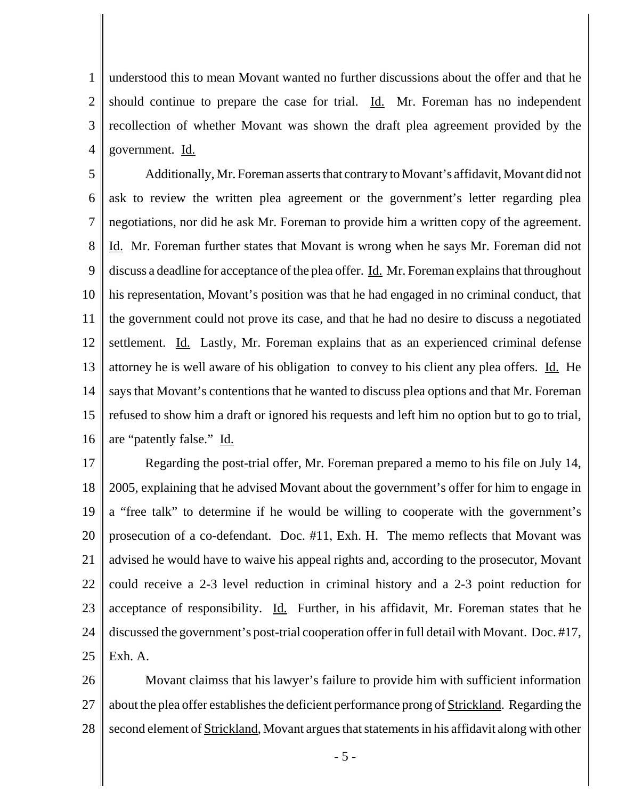1 2 3 4 understood this to mean Movant wanted no further discussions about the offer and that he should continue to prepare the case for trial. Id. Mr. Foreman has no independent recollection of whether Movant was shown the draft plea agreement provided by the government. Id.

5 6 7 8 9 10 11 12 13 14 15 16 Additionally, Mr. Foreman asserts that contrary to Movant's affidavit, Movant did not ask to review the written plea agreement or the government's letter regarding plea negotiations, nor did he ask Mr. Foreman to provide him a written copy of the agreement. Id. Mr. Foreman further states that Movant is wrong when he says Mr. Foreman did not discuss a deadline for acceptance of the plea offer. <u>Id.</u> Mr. Foreman explains that throughout his representation, Movant's position was that he had engaged in no criminal conduct, that the government could not prove its case, and that he had no desire to discuss a negotiated settlement. Id. Lastly, Mr. Foreman explains that as an experienced criminal defense attorney he is well aware of his obligation to convey to his client any plea offers. Id. He says that Movant's contentions that he wanted to discuss plea options and that Mr. Foreman refused to show him a draft or ignored his requests and left him no option but to go to trial, are "patently false." Id.

17 18 19 20 21 22 23 24 25 Regarding the post-trial offer, Mr. Foreman prepared a memo to his file on July 14, 2005, explaining that he advised Movant about the government's offer for him to engage in a "free talk" to determine if he would be willing to cooperate with the government's prosecution of a co-defendant. Doc. #11, Exh. H. The memo reflects that Movant was advised he would have to waive his appeal rights and, according to the prosecutor, Movant could receive a 2-3 level reduction in criminal history and a 2-3 point reduction for acceptance of responsibility. Id. Further, in his affidavit, Mr. Foreman states that he discussed the government's post-trial cooperation offer in full detail with Movant. Doc. #17, Exh. A.

26 27 28 Movant claimss that his lawyer's failure to provide him with sufficient information about the plea offer establishes the deficient performance prong of Strickland. Regarding the second element of Strickland, Movant argues that statements in his affidavit along with other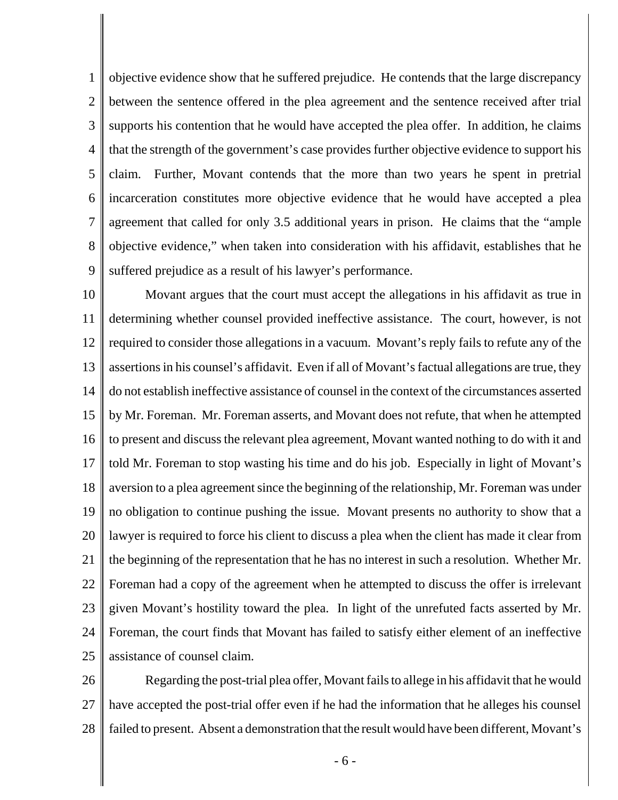1 2 3 4 5 6 7 8 9 objective evidence show that he suffered prejudice. He contends that the large discrepancy between the sentence offered in the plea agreement and the sentence received after trial supports his contention that he would have accepted the plea offer. In addition, he claims that the strength of the government's case provides further objective evidence to support his claim. Further, Movant contends that the more than two years he spent in pretrial incarceration constitutes more objective evidence that he would have accepted a plea agreement that called for only 3.5 additional years in prison. He claims that the "ample objective evidence," when taken into consideration with his affidavit, establishes that he suffered prejudice as a result of his lawyer's performance.

10 11 12 13 14 15 16 17 18 19 20 21 22 23 24 25 Movant argues that the court must accept the allegations in his affidavit as true in determining whether counsel provided ineffective assistance. The court, however, is not required to consider those allegations in a vacuum. Movant's reply fails to refute any of the assertions in his counsel's affidavit. Even if all of Movant's factual allegations are true, they do not establish ineffective assistance of counsel in the context of the circumstances asserted by Mr. Foreman. Mr. Foreman asserts, and Movant does not refute, that when he attempted to present and discuss the relevant plea agreement, Movant wanted nothing to do with it and told Mr. Foreman to stop wasting his time and do his job. Especially in light of Movant's aversion to a plea agreement since the beginning of the relationship, Mr. Foreman was under no obligation to continue pushing the issue. Movant presents no authority to show that a lawyer is required to force his client to discuss a plea when the client has made it clear from the beginning of the representation that he has no interest in such a resolution. Whether Mr. Foreman had a copy of the agreement when he attempted to discuss the offer is irrelevant given Movant's hostility toward the plea. In light of the unrefuted facts asserted by Mr. Foreman, the court finds that Movant has failed to satisfy either element of an ineffective assistance of counsel claim.

26 27 28 Regarding the post-trial plea offer, Movant fails to allege in his affidavit that he would have accepted the post-trial offer even if he had the information that he alleges his counsel failed to present. Absent a demonstration that the result would have been different, Movant's

- 6 -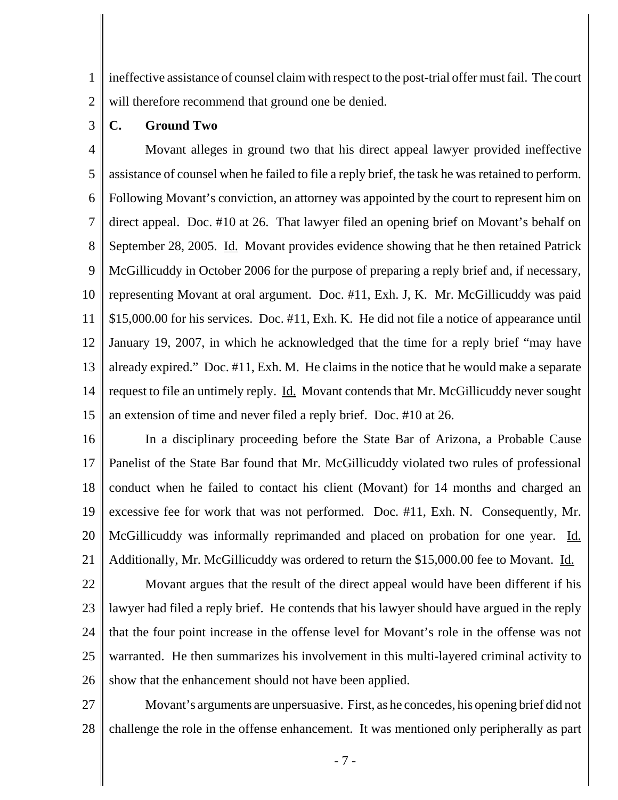1 2 ineffective assistance of counsel claim with respect to the post-trial offer must fail. The court will therefore recommend that ground one be denied.

3 **C. Ground Two**

4 5 6 7 8 9 10 11 12 13 14 15 Movant alleges in ground two that his direct appeal lawyer provided ineffective assistance of counsel when he failed to file a reply brief, the task he was retained to perform. Following Movant's conviction, an attorney was appointed by the court to represent him on direct appeal. Doc. #10 at 26. That lawyer filed an opening brief on Movant's behalf on September 28, 2005. Id. Movant provides evidence showing that he then retained Patrick McGillicuddy in October 2006 for the purpose of preparing a reply brief and, if necessary, representing Movant at oral argument. Doc. #11, Exh. J, K. Mr. McGillicuddy was paid \$15,000.00 for his services. Doc. #11, Exh. K. He did not file a notice of appearance until January 19, 2007, in which he acknowledged that the time for a reply brief "may have already expired." Doc. #11, Exh. M. He claims in the notice that he would make a separate request to file an untimely reply. Id. Movant contends that Mr. McGillicuddy never sought an extension of time and never filed a reply brief. Doc. #10 at 26.

16 17 18 19 20 21 In a disciplinary proceeding before the State Bar of Arizona, a Probable Cause Panelist of the State Bar found that Mr. McGillicuddy violated two rules of professional conduct when he failed to contact his client (Movant) for 14 months and charged an excessive fee for work that was not performed. Doc. #11, Exh. N. Consequently, Mr. McGillicuddy was informally reprimanded and placed on probation for one year. Id. Additionally, Mr. McGillicuddy was ordered to return the \$15,000.00 fee to Movant. Id.

22 23 24 25 26 Movant argues that the result of the direct appeal would have been different if his lawyer had filed a reply brief. He contends that his lawyer should have argued in the reply that the four point increase in the offense level for Movant's role in the offense was not warranted. He then summarizes his involvement in this multi-layered criminal activity to show that the enhancement should not have been applied.

27 28 Movant's arguments are unpersuasive. First, as he concedes, his opening brief did not challenge the role in the offense enhancement. It was mentioned only peripherally as part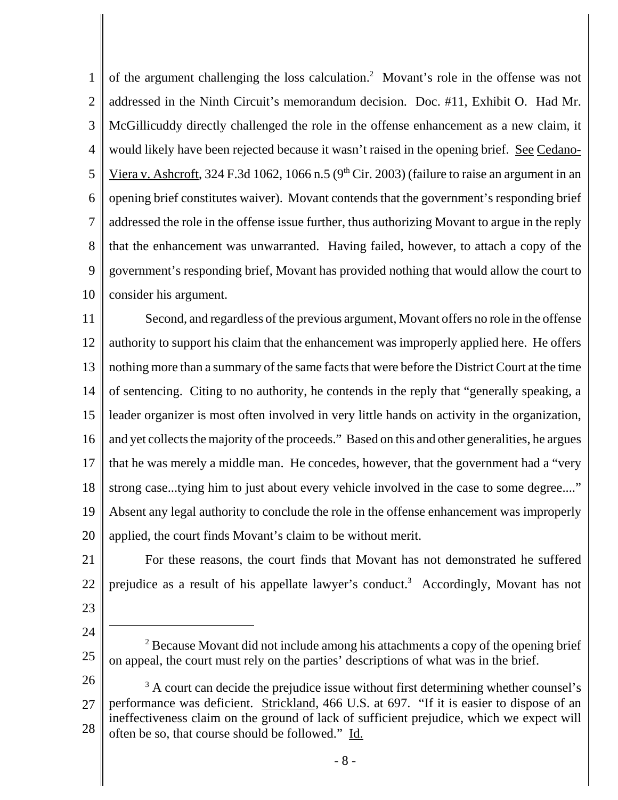1 2 3 4 5 6 7 8 9 10 of the argument challenging the loss calculation.<sup>2</sup> Movant's role in the offense was not addressed in the Ninth Circuit's memorandum decision. Doc. #11, Exhibit O. Had Mr. McGillicuddy directly challenged the role in the offense enhancement as a new claim, it would likely have been rejected because it wasn't raised in the opening brief. See Cedano-Viera v. Ashcroft, 324 F.3d 1062, 1066 n.5 ( $9<sup>th</sup>$  Cir. 2003) (failure to raise an argument in an opening brief constitutes waiver). Movant contends that the government's responding brief addressed the role in the offense issue further, thus authorizing Movant to argue in the reply that the enhancement was unwarranted. Having failed, however, to attach a copy of the government's responding brief, Movant has provided nothing that would allow the court to consider his argument.

11 12 13 14 15 16 17 18 19 20 Second, and regardless of the previous argument, Movant offers no role in the offense authority to support his claim that the enhancement was improperly applied here. He offers nothing more than a summary of the same facts that were before the District Court at the time of sentencing. Citing to no authority, he contends in the reply that "generally speaking, a leader organizer is most often involved in very little hands on activity in the organization, and yet collects the majority of the proceeds." Based on this and other generalities, he argues that he was merely a middle man. He concedes, however, that the government had a "very strong case...tying him to just about every vehicle involved in the case to some degree...." Absent any legal authority to conclude the role in the offense enhancement was improperly applied, the court finds Movant's claim to be without merit.

- For these reasons, the court finds that Movant has not demonstrated he suffered prejudice as a result of his appellate lawyer's conduct.<sup>3</sup> Accordingly, Movant has not
- 23

22

21

24

25

<sup>&</sup>lt;sup>2</sup> Because Movant did not include among his attachments a copy of the opening brief on appeal, the court must rely on the parties' descriptions of what was in the brief.

<sup>26</sup> 27 28 <sup>3</sup> A court can decide the prejudice issue without first determining whether counsel's performance was deficient. Strickland, 466 U.S. at 697. "If it is easier to dispose of an ineffectiveness claim on the ground of lack of sufficient prejudice, which we expect will often be so, that course should be followed." Id.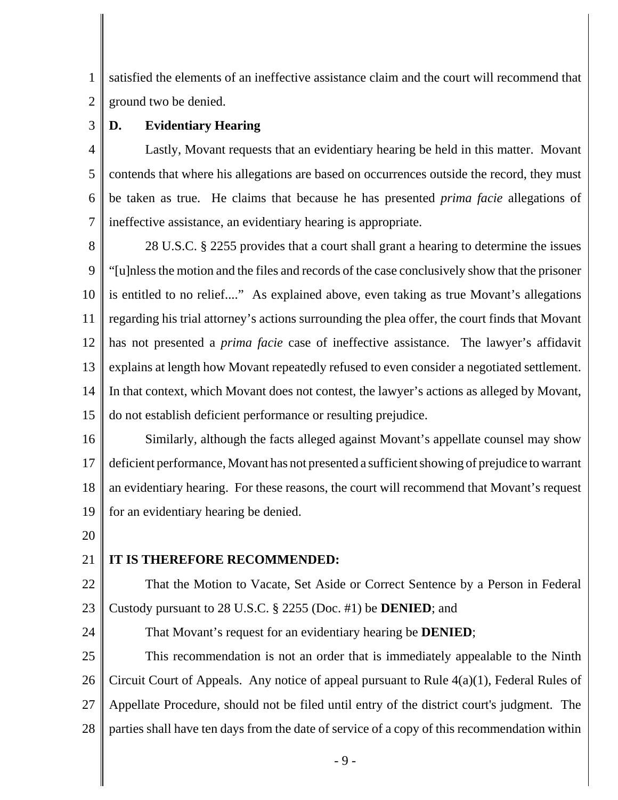1 2 satisfied the elements of an ineffective assistance claim and the court will recommend that ground two be denied.

### 3 **D. Evidentiary Hearing**

4 5 6 7 Lastly, Movant requests that an evidentiary hearing be held in this matter. Movant contends that where his allegations are based on occurrences outside the record, they must be taken as true. He claims that because he has presented *prima facie* allegations of ineffective assistance, an evidentiary hearing is appropriate.

8 9 10 11 12 13 14 15 28 U.S.C. § 2255 provides that a court shall grant a hearing to determine the issues "[u]nless the motion and the files and records of the case conclusively show that the prisoner is entitled to no relief...." As explained above, even taking as true Movant's allegations regarding his trial attorney's actions surrounding the plea offer, the court finds that Movant has not presented a *prima facie* case of ineffective assistance. The lawyer's affidavit explains at length how Movant repeatedly refused to even consider a negotiated settlement. In that context, which Movant does not contest, the lawyer's actions as alleged by Movant, do not establish deficient performance or resulting prejudice.

16 17 18 19 Similarly, although the facts alleged against Movant's appellate counsel may show deficient performance, Movant has not presented a sufficient showing of prejudice to warrant an evidentiary hearing. For these reasons, the court will recommend that Movant's request for an evidentiary hearing be denied.

20

24

#### 21 **IT IS THEREFORE RECOMMENDED:**

22 23 That the Motion to Vacate, Set Aside or Correct Sentence by a Person in Federal Custody pursuant to 28 U.S.C. § 2255 (Doc. #1) be **DENIED**; and

That Movant's request for an evidentiary hearing be **DENIED**;

25 26 27 28 This recommendation is not an order that is immediately appealable to the Ninth Circuit Court of Appeals. Any notice of appeal pursuant to Rule 4(a)(1), Federal Rules of Appellate Procedure, should not be filed until entry of the district court's judgment. The parties shall have ten days from the date of service of a copy of this recommendation within